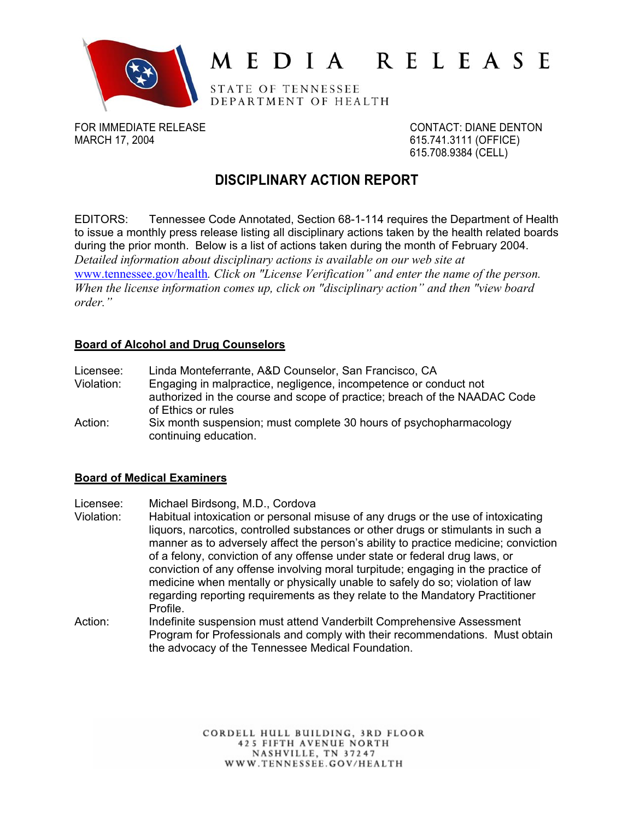

# MEDIA RELEASE

STATE OF TENNESSEE DEPARTMENT OF HEALTH

FOR IMMEDIATE RELEASE CONTACT: DIANE DENTON MARCH 17, 2004 615.741.3111 (OFFICE)

615.708.9384 (CELL)

## **DISCIPLINARY ACTION REPORT**

EDITORS: Tennessee Code Annotated, Section 68-1-114 requires the Department of Health to issue a monthly press release listing all disciplinary actions taken by the health related boards during the prior month. Below is a list of actions taken during the month of February 2004. *Detailed information about disciplinary actions is available on our web site at* www.tennessee.gov/health*. Click on "License Verification" and enter the name of the person. When the license information comes up, click on "disciplinary action" and then "view board order."* 

#### **Board of Alcohol and Drug Counselors**

Licensee: Linda Monteferrante, A&D Counselor, San Francisco, CA

- Violation: Engaging in malpractice, negligence, incompetence or conduct not authorized in the course and scope of practice; breach of the NAADAC Code of Ethics or rules
- Action: Six month suspension; must complete 30 hours of psychopharmacology continuing education.

### **Board of Medical Examiners**

Licensee: Michael Birdsong, M.D., Cordova

- Violation: Habitual intoxication or personal misuse of any drugs or the use of intoxicating liquors, narcotics, controlled substances or other drugs or stimulants in such a manner as to adversely affect the person's ability to practice medicine; conviction of a felony, conviction of any offense under state or federal drug laws, or conviction of any offense involving moral turpitude; engaging in the practice of medicine when mentally or physically unable to safely do so; violation of law regarding reporting requirements as they relate to the Mandatory Practitioner Profile.
- Action: Indefinite suspension must attend Vanderbilt Comprehensive Assessment Program for Professionals and comply with their recommendations. Must obtain the advocacy of the Tennessee Medical Foundation.

CORDELL HULL BUILDING, 3RD FLOOR **425 FIFTH AVENUE NORTH** NASHVILLE, TN 37247 WWW.TENNESSEE.GOV/HEALTH